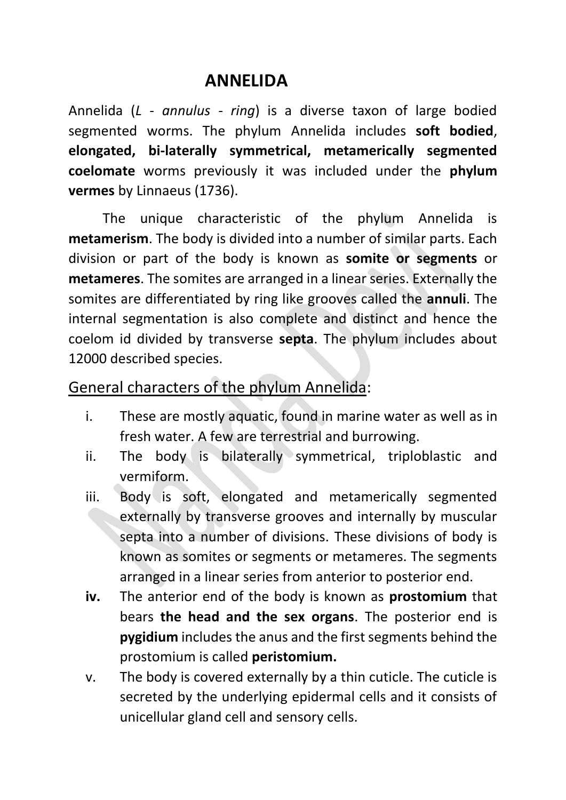## **ANNELIDA**

Annelida (*L - annulus - ring*) is a diverse taxon of large bodied segmented worms. The phylum Annelida includes **soft bodied**, **elongated, bi-laterally symmetrical, metamerically segmented coelomate** worms previously it was included under the **phylum vermes** by Linnaeus (1736).

The unique characteristic of the phylum Annelida is **metamerism**. The body is divided into a number of similar parts. Each division or part of the body is known as **somite or segments** or **metameres**. The somites are arranged in a linear series. Externally the somites are differentiated by ring like grooves called the **annuli**. The internal segmentation is also complete and distinct and hence the coelom id divided by transverse **septa**. The phylum includes about 12000 described species.

General characters of the phylum Annelida:

- i. These are mostly aquatic, found in marine water as well as in fresh water. A few are terrestrial and burrowing.
- ii. The body is bilaterally symmetrical, triploblastic and vermiform.
- iii. Body is soft, elongated and metamerically segmented externally by transverse grooves and internally by muscular septa into a number of divisions. These divisions of body is known as somites or segments or metameres. The segments arranged in a linear series from anterior to posterior end.
- **iv.** The anterior end of the body is known as **prostomium** that bears **the head and the sex organs**. The posterior end is **pygidium** includes the anus and the first segments behind the prostomium is called **peristomium.**
- v. The body is covered externally by a thin cuticle. The cuticle is secreted by the underlying epidermal cells and it consists of unicellular gland cell and sensory cells.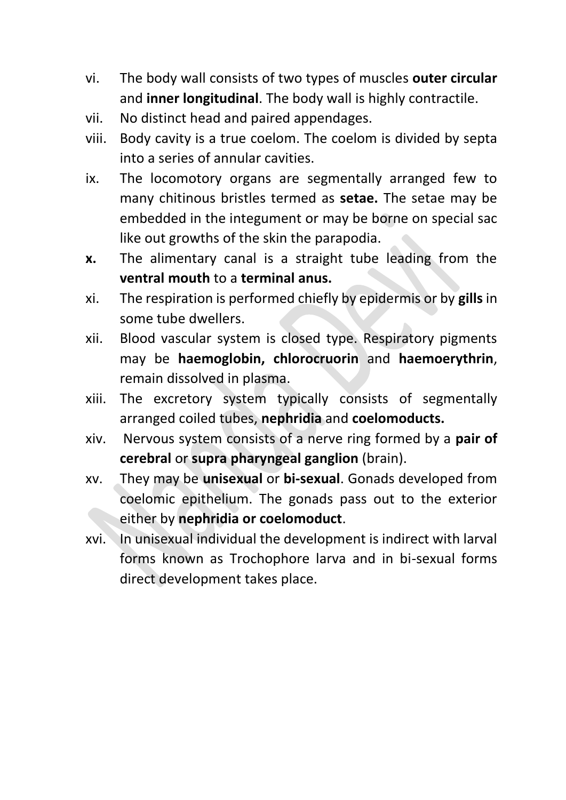- vi. The body wall consists of two types of muscles **outer circular** and **inner longitudinal**. The body wall is highly contractile.
- vii. No distinct head and paired appendages.
- viii. Body cavity is a true coelom. The coelom is divided by septa into a series of annular cavities.
- ix. The locomotory organs are segmentally arranged few to many chitinous bristles termed as **setae.** The setae may be embedded in the integument or may be borne on special sac like out growths of the skin the parapodia.
- **x.** The alimentary canal is a straight tube leading from the **ventral mouth** to a **terminal anus.**
- xi. The respiration is performed chiefly by epidermis or by **gills** in some tube dwellers.
- xii. Blood vascular system is closed type. Respiratory pigments may be **haemoglobin, chlorocruorin** and **haemoerythrin**, remain dissolved in plasma.
- xiii. The excretory system typically consists of segmentally arranged coiled tubes, **nephridia** and **coelomoducts.**
- xiv. Nervous system consists of a nerve ring formed by a **pair of cerebral** or **supra pharyngeal ganglion** (brain).
- xv. They may be **unisexual** or **bi-sexual**. Gonads developed from coelomic epithelium. The gonads pass out to the exterior either by **nephridia or coelomoduct**.
- xvi. In unisexual individual the development is indirect with larval forms known as Trochophore larva and in bi-sexual forms direct development takes place.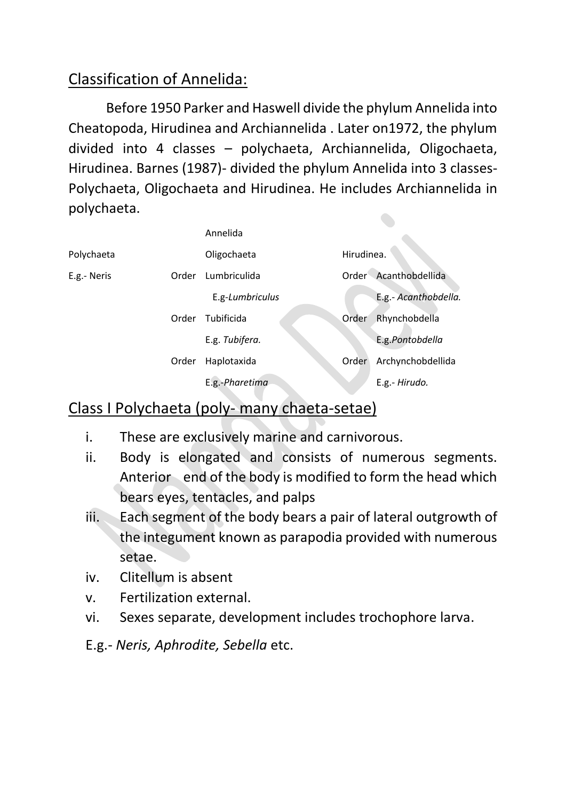## Classification of Annelida:

Before 1950 Parker and Haswell divide the phylum Annelida into Cheatopoda, Hirudinea and Archiannelida . Later on1972, the phylum divided into 4 classes – polychaeta, Archiannelida, Oligochaeta, Hirudinea. Barnes (1987)- divided the phylum Annelida into 3 classes-Polychaeta, Oligochaeta and Hirudinea. He includes Archiannelida in polychaeta.

|             |       | Annelida        |            |                       |
|-------------|-------|-----------------|------------|-----------------------|
| Polychaeta  |       | Oligochaeta     | Hirudinea. |                       |
| E.g.- Neris | Order | Lumbriculida    |            | Order Acanthobdellida |
|             |       | E.g-Lumbriculus |            | E.g.- Acanthobdella.  |
|             | Order | Tubificida      | Order      | Rhynchobdella         |
|             |       | E.g. Tubifera.  |            | E.g.Pontobdella       |
|             | Order | Haplotaxida     | Order      | Archynchobdellida     |
|             |       | E.g.-Pharetima  |            | E.g.- Hirudo.         |

#### Class I Polychaeta (poly- many chaeta-setae)

- i. These are exclusively marine and carnivorous.
- ii. Body is elongated and consists of numerous segments. Anterior end of the body is modified to form the head which bears eyes, tentacles, and palps
- iii. Each segment of the body bears a pair of lateral outgrowth of the integument known as parapodia provided with numerous setae.
- iv. Clitellum is absent
- v. Fertilization external.
- vi. Sexes separate, development includes trochophore larva.
- E.g.- *Neris, Aphrodite, Sebella* etc.